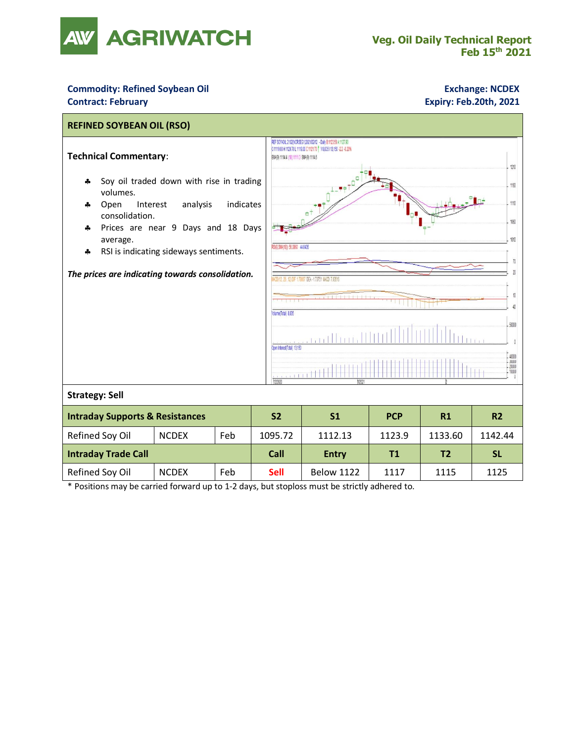

## **Commodity: Refined Soybean Oil <b>Exchange: NCDEX Exchange: NCDEX Contract: February Expiry: Feb.20th, 2021**